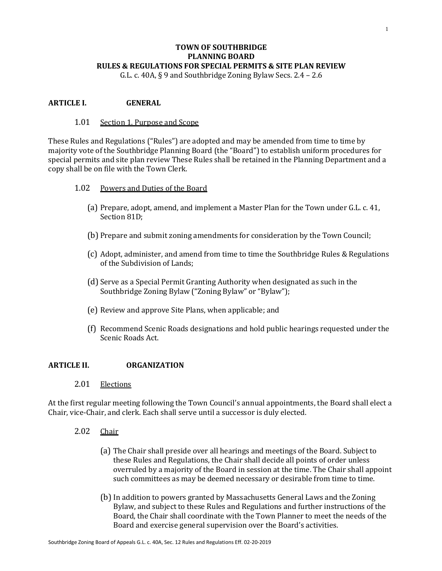# **TOWN OF SOUTHBRIDGE PLANNING BOARD RULES & REGULATIONS FOR SPECIAL PERMITS & SITE PLAN REVIEW**

G.L. c. 40A, § 9 and Southbridge Zoning Bylaw Secs. 2.4 – 2.6

## **ARTICLE I. GENERAL**

#### 1.01 Section 1. Purpose and Scope

These Rules and Regulations ("Rules") are adopted and may be amended from time to time by majority vote of the Southbridge Planning Board (the "Board") to establish uniform procedures for special permits and site plan review These Rules shall be retained in the Planning Department and a copy shall be on file with the Town Clerk.

- 1.02 Powers and Duties of the Board
	- (a) Prepare, adopt, amend, and implement a Master Plan for the Town under G.L. c. 41, Section 81D;
	- (b) Prepare and submit zoning amendments for consideration by the Town Council;
	- (c) Adopt, administer, and amend from time to time the Southbridge Rules & Regulations of the Subdivision of Lands;
	- (d) Serve as a Special Permit Granting Authority when designated as such in the Southbridge Zoning Bylaw ("Zoning Bylaw" or "Bylaw");
	- (e) Review and approve Site Plans, when applicable; and
	- (f) Recommend Scenic Roads designations and hold public hearings requested under the Scenic Roads Act.

## **ARTICLE II. ORGANIZATION**

2.01 Elections

At the first regular meeting following the Town Council's annual appointments, the Board shall elect a Chair, vice-Chair, and clerk. Each shall serve until a successor is duly elected.

- 2.02 Chair
	- (a) The Chair shall preside over all hearings and meetings of the Board. Subject to these Rules and Regulations, the Chair shall decide all points of order unless overruled by a majority of the Board in session at the time. The Chair shall appoint such committees as may be deemed necessary or desirable from time to time.
	- (b)In addition to powers granted by Massachusetts General Laws and the Zoning Bylaw, and subject to these Rules and Regulations and further instructions of the Board, the Chair shall coordinate with the Town Planner to meet the needs of the Board and exercise general supervision over the Board's activities.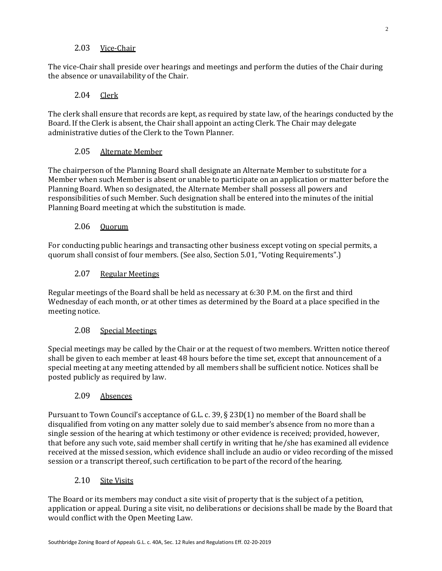# 2.03 Vice-Chair

The vice-Chair shall preside over hearings and meetings and perform the duties of the Chair during the absence or unavailability of the Chair.

# 2.04 Clerk

The clerk shall ensure that records are kept, as required by state law, of the hearings conducted by the Board. If the Clerk is absent, the Chair shall appoint an acting Clerk. The Chair may delegate administrative duties of the Clerk to the Town Planner.

## 2.05 Alternate Member

The chairperson of the Planning Board shall designate an Alternate Member to substitute for a Member when such Member is absent or unable to participate on an application or matter before the Planning Board. When so designated, the Alternate Member shall possess all powers and responsibilities of such Member. Such designation shall be entered into the minutes of the initial Planning Board meeting at which the substitution is made.

## 2.06 Quorum

For conducting public hearings and transacting other business except voting on special permits, a quorum shall consist of four members. (See also, Section 5.01, "Voting Requirements".)

## 2.07 Regular Meetings

Regular meetings of the Board shall be held as necessary at 6:30 P.M. on the first and third Wednesday of each month, or at other times as determined by the Board at a place specified in the meeting notice.

## 2.08 Special Meetings

Special meetings may be called by the Chair or at the request of two members. Written notice thereof shall be given to each member at least 48 hours before the time set, except that announcement of a special meeting at any meeting attended by all members shall be sufficient notice. Notices shall be posted publicly as required by law.

## 2.09 Absences

Pursuant to Town Council's acceptance of G.L. c. 39, § 23D(1) no member of the Board shall be disqualified from voting on any matter solely due to said member's absence from no more than a single session of the hearing at which testimony or other evidence is received; provided, however, that before any such vote, said member shall certify in writing that he/she has examined all evidence received at the missed session, which evidence shall include an audio or video recording of the missed session or a transcript thereof, such certification to be part of the record of the hearing.

## 2.10 Site Visits

The Board or its members may conduct a site visit of property that is the subject of a petition, application or appeal. During a site visit, no deliberations or decisions shall be made by the Board that would conflict with the Open Meeting Law.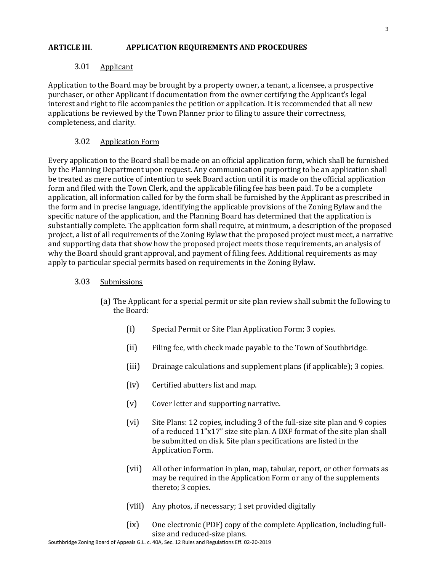### **ARTICLE III. APPLICATION REQUIREMENTS AND PROCEDURES**

### 3.01 Applicant

Application to the Board may be brought by a property owner, a tenant, a licensee, a prospective purchaser, or other Applicant if documentation from the owner certifying the Applicant's legal interest and right to file accompanies the petition or application. It is recommended that all new applications be reviewed by the Town Planner prior to filing to assure their correctness, completeness, and clarity.

### 3.02 Application Form

Every application to the Board shall be made on an official application form, which shall be furnished by the Planning Department upon request. Any communication purporting to be an application shall be treated as mere notice of intention to seek Board action until it is made on the official application form and filed with the Town Clerk, and the applicable filing fee has been paid. To be a complete application, all information called for by the form shall be furnished by the Applicant as prescribed in the form and in precise language, identifying the applicable provisions of the Zoning Bylaw and the specific nature of the application, and the Planning Board has determined that the application is substantially complete. The application form shall require, at minimum, a description of the proposed project, a list of all requirements of the Zoning Bylaw that the proposed project must meet, a narrative and supporting data that show how the proposed project meets those requirements, an analysis of why the Board should grant approval, and payment of filing fees. Additional requirements as may apply to particular special permits based on requirements in the Zoning Bylaw.

#### 3.03 Submissions

- (a) The Applicant for a special permit or site plan review shall submit the following to the Board:
	- (i) Special Permit or Site Plan Application Form; 3 copies.
	- (ii) Filing fee, with check made payable to the Town of Southbridge.
	- (iii) Drainage calculations and supplement plans (if applicable); 3 copies.
	- (iv) Certified abutters list and map.
	- (v) Cover letter and supporting narrative.
	- (vi) Site Plans: 12 copies, including 3 of the full-size site plan and 9 copies of a reduced 11"x17" size site plan. A DXF format of the site plan shall be submitted on disk. Site plan specifications are listed in the Application Form.
	- (vii) All other information in plan, map, tabular, report, or other formats as may be required in the Application Form or any of the supplements thereto; 3 copies.
	- (viii) Any photos, if necessary; 1 set provided digitally
	- (ix) One electronic (PDF) copy of the complete Application, including fullsize and reduced-size plans.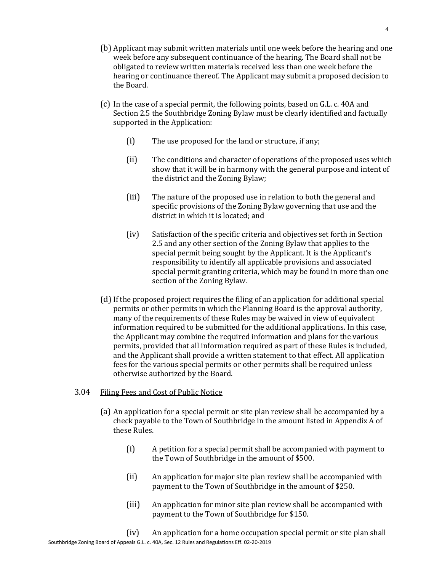- (b) Applicant may submit written materials until one week before the hearing and one week before any subsequent continuance of the hearing. The Board shall not be obligated to review written materials received less than one week before the hearing or continuance thereof. The Applicant may submit a proposed decision to the Board.
- (c) In the case of a special permit, the following points, based on G.L. c. 40A and Section 2.5 the Southbridge Zoning Bylaw must be clearly identified and factually supported in the Application:
	- (i) The use proposed for the land or structure, if any;
	- (ii) The conditions and character of operations of the proposed uses which show that it will be in harmony with the general purpose and intent of the district and the Zoning Bylaw;
	- (iii) The nature of the proposed use in relation to both the general and specific provisions of the Zoning Bylaw governing that use and the district in which it is located; and
	- (iv) Satisfaction of the specific criteria and objectives set forth in Section 2.5 and any other section of the Zoning Bylaw that applies to the special permit being sought by the Applicant. It is the Applicant's responsibility to identify all applicable provisions and associated special permit granting criteria, which may be found in more than one section of the Zoning Bylaw.
- (d)If the proposed project requires the filing of an application for additional special permits or other permits in which the Planning Board is the approval authority, many of the requirements of these Rules may be waived in view of equivalent information required to be submitted for the additional applications. In this case, the Applicant may combine the required information and plans for the various permits, provided that all information required as part of these Rules is included, and the Applicant shall provide a written statement to that effect. All application fees for the various special permits or other permits shall be required unless otherwise authorized by the Board.

#### 3.04 Filing Fees and Cost of Public Notice

- (a) An application for a special permit or site plan review shall be accompanied by a check payable to the Town of Southbridge in the amount listed in Appendix A of these Rules.
	- (i) A petition for a special permit shall be accompanied with payment to the Town of Southbridge in the amount of \$500.
	- (ii) An application for major site plan review shall be accompanied with payment to the Town of Southbridge in the amount of \$250.
	- (iii) An application for minor site plan review shall be accompanied with payment to the Town of Southbridge for \$150.

Southbridge Zoning Board of Appeals G.L. c. 40A, Sec. 12 Rules and Regulations Eff. 02-20-2019 (iv) An application for a home occupation special permit or site plan shall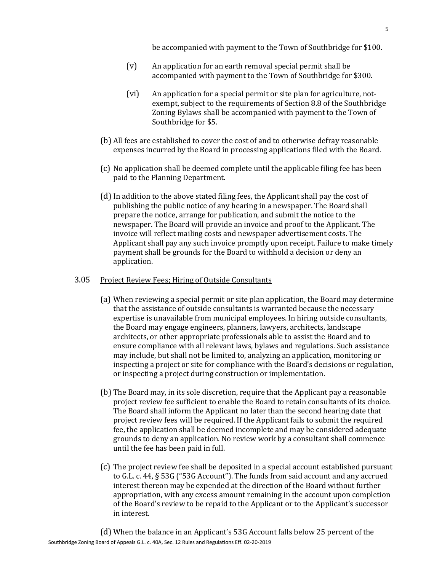be accompanied with payment to the Town of Southbridge for \$100.

- (v) An application for an earth removal special permit shall be accompanied with payment to the Town of Southbridge for \$300.
- (vi) An application for a special permit or site plan for agriculture, notexempt, subject to the requirements of Section 8.8 of the Southbridge Zoning Bylaws shall be accompanied with payment to the Town of Southbridge for \$5.
- (b) All fees are established to cover the cost of and to otherwise defray reasonable expenses incurred by the Board in processing applications filed with the Board.
- (c) No application shall be deemed complete until the applicable filing fee has been paid to the Planning Department.
- (d)In addition to the above stated filing fees, the Applicant shall pay the cost of publishing the public notice of any hearing in a newspaper. The Board shall prepare the notice, arrange for publication, and submit the notice to the newspaper. The Board will provide an invoice and proof to the Applicant. The invoice will reflect mailing costs and newspaper advertisement costs. The Applicant shall pay any such invoice promptly upon receipt. Failure to make timely payment shall be grounds for the Board to withhold a decision or deny an application.

#### 3.05 Project Review Fees; Hiring of Outside Consultants

- (a) When reviewing a special permit or site plan application, the Board may determine that the assistance of outside consultants is warranted because the necessary expertise is unavailable from municipal employees. In hiring outside consultants, the Board may engage engineers, planners, lawyers, architects, landscape architects, or other appropriate professionals able to assist the Board and to ensure compliance with all relevant laws, bylaws and regulations. Such assistance may include, but shall not be limited to, analyzing an application, monitoring or inspecting a project or site for compliance with the Board's decisions or regulation, or inspecting a project during construction or implementation.
- (b) The Board may, in its sole discretion, require that the Applicant pay a reasonable project review fee sufficient to enable the Board to retain consultants of its choice. The Board shall inform the Applicant no later than the second hearing date that project review fees will be required. If the Applicant fails to submit the required fee, the application shall be deemed incomplete and may be considered adequate grounds to deny an application. No review work by a consultant shall commence until the fee has been paid in full.
- (c) The project review fee shall be deposited in a special account established pursuant to G.L. c. 44, § 53G ("53G Account"). The funds from said account and any accrued interest thereon may be expended at the direction of the Board without further appropriation, with any excess amount remaining in the account upon completion of the Board's review to be repaid to the Applicant or to the Applicant's successor in interest.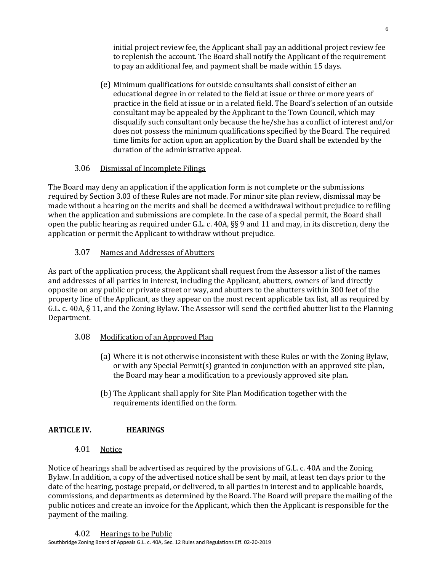initial project review fee, the Applicant shall pay an additional project review fee to replenish the account. The Board shall notify the Applicant of the requirement to pay an additional fee, and payment shall be made within 15 days.

(e) Minimum qualifications for outside consultants shall consist of either an educational degree in or related to the field at issue or three or more years of practice in the field at issue or in a related field. The Board's selection of an outside consultant may be appealed by the Applicant to the Town Council, which may disqualify such consultant only because the he/she has a conflict of interest and/or does not possess the minimum qualifications specified by the Board. The required time limits for action upon an application by the Board shall be extended by the duration of the administrative appeal.

# 3.06 Dismissal of Incomplete Filings

The Board may deny an application if the application form is not complete or the submissions required by Section 3.03 of these Rules are not made. For minor site plan review, dismissal may be made without a hearing on the merits and shall be deemed a withdrawal without prejudice to refiling when the application and submissions are complete. In the case of a special permit, the Board shall open the public hearing as required under G.L. c. 40A, §§ 9 and 11 and may, in its discretion, deny the application or permit the Applicant to withdraw without prejudice.

# 3.07 Names and Addresses of Abutters

As part of the application process, the Applicant shall request from the Assessor a list of the names and addresses of all parties in interest, including the Applicant, abutters, owners of land directly opposite on any public or private street or way, and abutters to the abutters within 300 feet of the property line of the Applicant, as they appear on the most recent applicable tax list, all as required by G.L. c. 40A, § 11, and the Zoning Bylaw. The Assessor will send the certified abutter list to the Planning Department.

# 3.08 Modification of an Approved Plan

- (a) Where it is not otherwise inconsistent with these Rules or with the Zoning Bylaw, or with any Special Permit(s) granted in conjunction with an approved site plan, the Board may hear a modification to a previously approved site plan.
- (b) The Applicant shall apply for Site Plan Modification together with the requirements identified on the form.

# **ARTICLE IV. HEARINGS**

# 4.01 Notice

Notice of hearings shall be advertised as required by the provisions of G.L. c. 40A and the Zoning Bylaw. In addition, a copy of the advertised notice shall be sent by mail, at least ten days prior to the date of the hearing, postage prepaid, or delivered, to all parties in interest and to applicable boards, commissions, and departments as determined by the Board. The Board will prepare the mailing of the public notices and create an invoice for the Applicant, which then the Applicant is responsible for the payment of the mailing.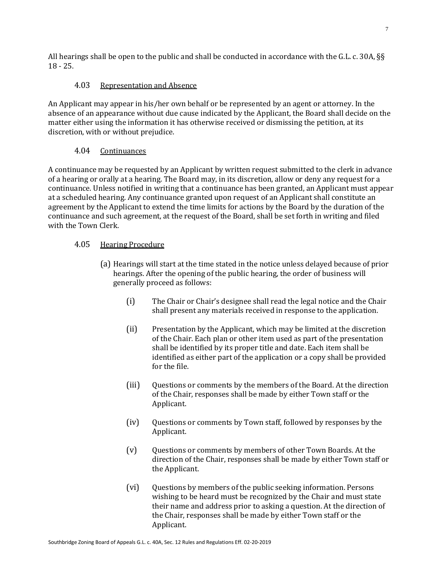All hearings shall be open to the public and shall be conducted in accordance with the G.L. c. 30A, §§ 18 - 25.

# 4.03 Representation and Absence

An Applicant may appear in his/her own behalf or be represented by an agent or attorney. In the absence of an appearance without due cause indicated by the Applicant, the Board shall decide on the matter either using the information it has otherwise received or dismissing the petition, at its discretion, with or without prejudice.

# 4.04 Continuances

A continuance may be requested by an Applicant by written request submitted to the clerk in advance of a hearing or orally at a hearing. The Board may, in its discretion, allow or deny any request for a continuance. Unless notified in writing that a continuance has been granted, an Applicant must appear at a scheduled hearing. Any continuance granted upon request of an Applicant shall constitute an agreement by the Applicant to extend the time limits for actions by the Board by the duration of the continuance and such agreement, at the request of the Board, shall be set forth in writing and filed with the Town Clerk.

# 4.05 Hearing Procedure

- (a) Hearings will start at the time stated in the notice unless delayed because of prior hearings. After the opening of the public hearing, the order of business will generally proceed as follows:
	- (i) The Chair or Chair's designee shall read the legal notice and the Chair shall present any materials received in response to the application.
	- (ii) Presentation by the Applicant, which may be limited at the discretion of the Chair. Each plan or other item used as part of the presentation shall be identified by its proper title and date. Each item shall be identified as either part of the application or a copy shall be provided for the file.
	- (iii) Questions or comments by the members of the Board. At the direction of the Chair, responses shall be made by either Town staff or the Applicant.
	- (iv) Questions or comments by Town staff, followed by responses by the Applicant.
	- (v) Questions or comments by members of other Town Boards. At the direction of the Chair, responses shall be made by either Town staff or the Applicant.
	- (vi) Questions by members of the public seeking information. Persons wishing to be heard must be recognized by the Chair and must state their name and address prior to asking a question. At the direction of the Chair, responses shall be made by either Town staff or the Applicant.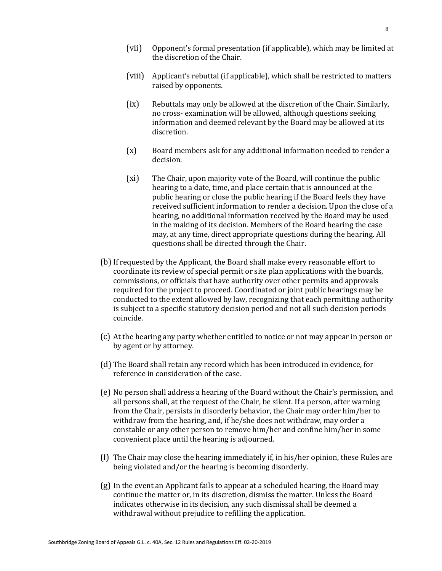- (vii) Opponent's formal presentation (if applicable), which may be limited at the discretion of the Chair.
- (viii) Applicant's rebuttal (if applicable), which shall be restricted to matters raised by opponents.
- (ix) Rebuttals may only be allowed at the discretion of the Chair. Similarly, no cross- examination will be allowed, although questions seeking information and deemed relevant by the Board may be allowed at its discretion.
- (x) Board members ask for any additional information needed to render a decision.
- (xi) The Chair, upon majority vote of the Board, will continue the public hearing to a date, time, and place certain that is announced at the public hearing or close the public hearing if the Board feels they have received sufficient information to render a decision. Upon the close of a hearing, no additional information received by the Board may be used in the making of its decision. Members of the Board hearing the case may, at any time, direct appropriate questions during the hearing. All questions shall be directed through the Chair.
- (b)If requested by the Applicant, the Board shall make every reasonable effort to coordinate its review of special permit or site plan applications with the boards, commissions, or officials that have authority over other permits and approvals required for the project to proceed. Coordinated or joint public hearings may be conducted to the extent allowed by law, recognizing that each permitting authority is subject to a specific statutory decision period and not all such decision periods coincide.
- (c) At the hearing any party whether entitled to notice or not may appear in person or by agent or by attorney.
- (d) The Board shall retain any record which has been introduced in evidence, for reference in consideration of the case.
- (e) No person shall address a hearing of the Board without the Chair's permission, and all persons shall, at the request of the Chair, be silent. If a person, after warning from the Chair, persists in disorderly behavior, the Chair may order him/her to withdraw from the hearing, and, if he/she does not withdraw, may order a constable or any other person to remove him/her and confine him/her in some convenient place until the hearing is adjourned.
- (f) The Chair may close the hearing immediately if, in his/her opinion, these Rules are being violated and/or the hearing is becoming disorderly.
- (g) In the event an Applicant fails to appear at a scheduled hearing, the Board may continue the matter or, in its discretion, dismiss the matter. Unless the Board indicates otherwise in its decision, any such dismissal shall be deemed a withdrawal without prejudice to refilling the application.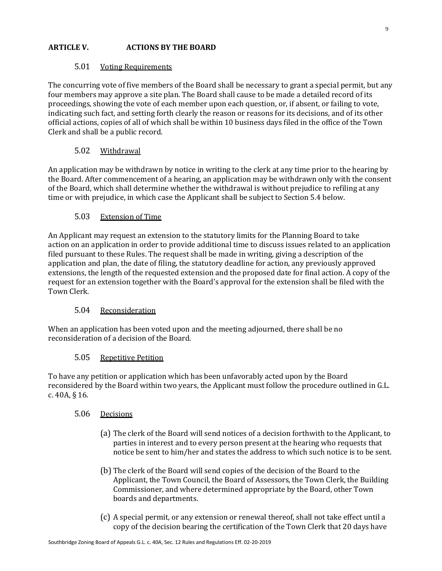# **ARTICLE V. ACTIONS BY THE BOARD**

# 5.01 Voting Requirements

The concurring vote of five members of the Board shall be necessary to grant a special permit, but any four members may approve a site plan. The Board shall cause to be made a detailed record of its proceedings, showing the vote of each member upon each question, or, if absent, or failing to vote, indicating such fact, and setting forth clearly the reason or reasons for its decisions, and of its other official actions, copies of all of which shall be within 10 business days filed in the office of the Town Clerk and shall be a public record.

# 5.02 Withdrawal

An application may be withdrawn by notice in writing to the clerk at any time prior to the hearing by the Board. After commencement of a hearing, an application may be withdrawn only with the consent of the Board, which shall determine whether the withdrawal is without prejudice to refiling at any time or with prejudice, in which case the Applicant shall be subject to Section 5.4 below.

## 5.03 Extension of Time

An Applicant may request an extension to the statutory limits for the Planning Board to take action on an application in order to provide additional time to discuss issues related to an application filed pursuant to these Rules. The request shall be made in writing, giving a description of the application and plan, the date of filing, the statutory deadline for action, any previously approved extensions, the length of the requested extension and the proposed date for final action. A copy of the request for an extension together with the Board's approval for the extension shall be filed with the Town Clerk.

## 5.04 Reconsideration

When an application has been voted upon and the meeting adjourned, there shall be no reconsideration of a decision of the Board.

## 5.05 Repetitive Petition

To have any petition or application which has been unfavorably acted upon by the Board reconsidered by the Board within two years, the Applicant must follow the procedure outlined in G.L. c. 40A, § 16.

## 5.06 Decisions

- (a) The clerk of the Board will send notices of a decision forthwith to the Applicant, to parties in interest and to every person present at the hearing who requests that notice be sent to him/her and states the address to which such notice is to be sent.
- (b) The clerk of the Board will send copies of the decision of the Board to the Applicant, the Town Council, the Board of Assessors, the Town Clerk, the Building Commissioner, and where determined appropriate by the Board, other Town boards and departments.
- (c) A special permit, or any extension or renewal thereof, shall not take effect until a copy of the decision bearing the certification of the Town Clerk that 20 days have